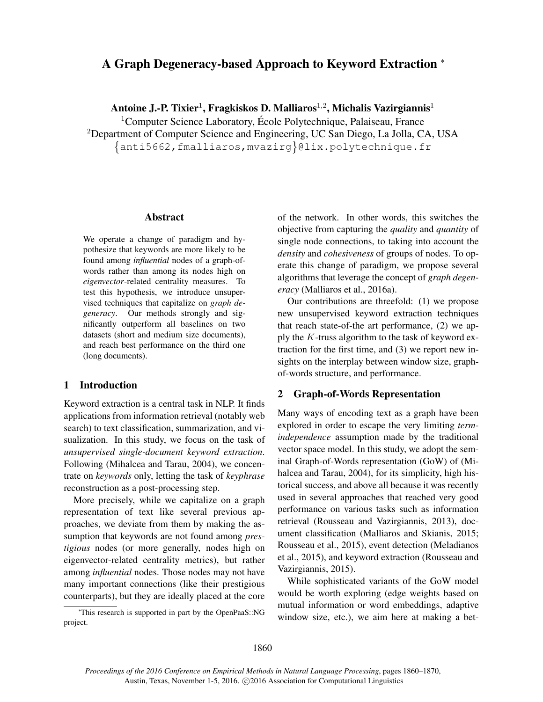# A Graph Degeneracy-based Approach to Keyword Extraction <sup>∗</sup>

Antoine J.-P. Tixier $^1$ , Fragkiskos D. Malliaros $^{1,2}$ , Michalis Vazirgiannis $^1$ 

<sup>1</sup>Computer Science Laboratory, École Polytechnique, Palaiseau, France <sup>2</sup>Department of Computer Science and Engineering, UC San Diego, La Jolla, CA, USA anti5662,fmalliaros,mvazirg @lix.polytechnique.fr

#### Abstract

We operate a change of paradigm and hypothesize that keywords are more likely to be found among *influential* nodes of a graph-ofwords rather than among its nodes high on *eigenvector*-related centrality measures. To test this hypothesis, we introduce unsupervised techniques that capitalize on *graph degeneracy*. Our methods strongly and significantly outperform all baselines on two datasets (short and medium size documents), and reach best performance on the third one (long documents).

# 1 Introduction

Keyword extraction is a central task in NLP. It finds applications from information retrieval (notably web search) to text classification, summarization, and visualization. In this study, we focus on the task of *unsupervised single-document keyword extraction*. Following (Mihalcea and Tarau, 2004), we concentrate on *keywords* only, letting the task of *keyphrase* reconstruction as a post-processing step.

More precisely, while we capitalize on a graph representation of text like several previous approaches, we deviate from them by making the assumption that keywords are not found among *prestigious* nodes (or more generally, nodes high on eigenvector-related centrality metrics), but rather among *influential* nodes. Those nodes may not have many important connections (like their prestigious counterparts), but they are ideally placed at the core

<sup>∗</sup>This research is supported in part by the OpenPaaS::NG project.

of the network. In other words, this switches the objective from capturing the *quality* and *quantity* of single node connections, to taking into account the *density* and *cohesiveness* of groups of nodes. To operate this change of paradigm, we propose several algorithms that leverage the concept of *graph degeneracy* (Malliaros et al., 2016a).

Our contributions are threefold: (1) we propose new unsupervised keyword extraction techniques that reach state-of-the art performance, (2) we apply the K-truss algorithm to the task of keyword extraction for the first time, and (3) we report new insights on the interplay between window size, graphof-words structure, and performance.

# 2 Graph-of-Words Representation

Many ways of encoding text as a graph have been explored in order to escape the very limiting *termindependence* assumption made by the traditional vector space model. In this study, we adopt the seminal Graph-of-Words representation (GoW) of (Mihalcea and Tarau, 2004), for its simplicity, high historical success, and above all because it was recently used in several approaches that reached very good performance on various tasks such as information retrieval (Rousseau and Vazirgiannis, 2013), document classification (Malliaros and Skianis, 2015; Rousseau et al., 2015), event detection (Meladianos et al., 2015), and keyword extraction (Rousseau and Vazirgiannis, 2015).

While sophisticated variants of the GoW model would be worth exploring (edge weights based on mutual information or word embeddings, adaptive window size, etc.), we aim here at making a bet-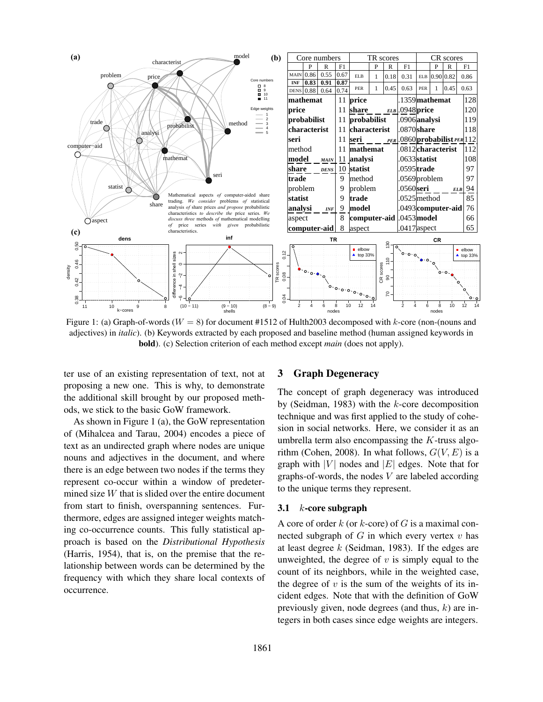

Figure 1: (a) Graph-of-words ( $W = 8$ ) for document #1512 of Hulth2003 decomposed with k-core (non-(nouns and adjectives) in *italic*). (b) Keywords extracted by each proposed and baseline method (human assigned keywords in bold). (c) Selection criterion of each method except *main* (does not apply).

ter use of an existing representation of text, not at proposing a new one. This is why, to demonstrate the additional skill brought by our proposed methods, we stick to the basic GoW framework.

As shown in Figure 1 (a), the GoW representation of (Mihalcea and Tarau, 2004) encodes a piece of text as an undirected graph where nodes are unique nouns and adjectives in the document, and where there is an edge between two nodes if the terms they represent co-occur within a window of predetermined size  $W$  that is slided over the entire document from start to finish, overspanning sentences. Furthermore, edges are assigned integer weights matching co-occurrence counts. This fully statistical approach is based on the *Distributional Hypothesis* (Harris, 1954), that is, on the premise that the relationship between words can be determined by the frequency with which they share local contexts of occurrence.

#### 3 Graph Degeneracy

The concept of graph degeneracy was introduced by (Seidman, 1983) with the  $k$ -core decomposition technique and was first applied to the study of cohesion in social networks. Here, we consider it as an umbrella term also encompassing the  $K$ -truss algorithm (Cohen, 2008). In what follows,  $G(V, E)$  is a graph with |V| nodes and  $|E|$  edges. Note that for graphs-of-words, the nodes  $V$  are labeled according to the unique terms they represent.

### 3.1  $k$ -core subgraph

A core of order  $k$  (or  $k$ -core) of  $G$  is a maximal connected subgraph of  $G$  in which every vertex  $v$  has at least degree  $k$  (Seidman, 1983). If the edges are unweighted, the degree of  $v$  is simply equal to the count of its neighbors, while in the weighted case, the degree of  $v$  is the sum of the weights of its incident edges. Note that with the definition of GoW previously given, node degrees (and thus,  $k$ ) are integers in both cases since edge weights are integers.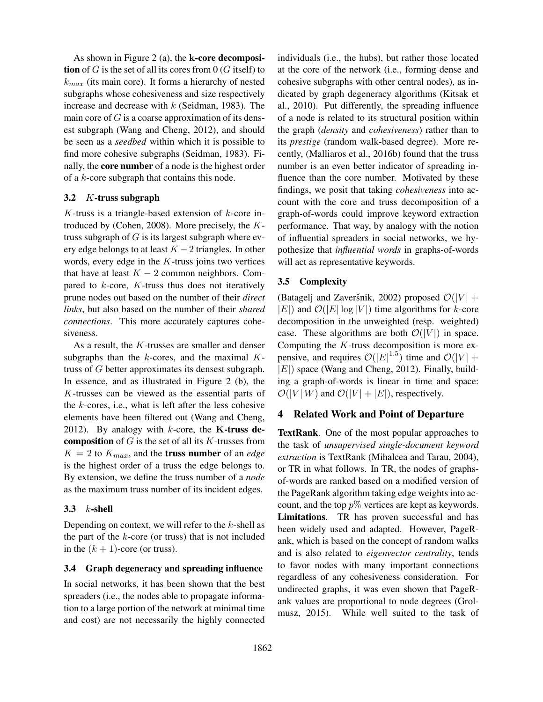As shown in Figure 2 (a), the k-core decomposition of G is the set of all its cores from  $0$  (G itself) to  $k_{max}$  (its main core). It forms a hierarchy of nested subgraphs whose cohesiveness and size respectively increase and decrease with  $k$  (Seidman, 1983). The main core of  $G$  is a coarse approximation of its densest subgraph (Wang and Cheng, 2012), and should be seen as a *seedbed* within which it is possible to find more cohesive subgraphs (Seidman, 1983). Finally, the core number of a node is the highest order of a k-core subgraph that contains this node.

# 3.2 K-truss subgraph

 $K$ -truss is a triangle-based extension of  $k$ -core introduced by (Cohen, 2008). More precisely, the  $K$ truss subgraph of  $G$  is its largest subgraph where every edge belongs to at least  $K - 2$  triangles. In other words, every edge in the  $K$ -truss joins two vertices that have at least  $K - 2$  common neighbors. Compared to  $k$ -core,  $K$ -truss thus does not iteratively prune nodes out based on the number of their *direct links*, but also based on the number of their *shared connections*. This more accurately captures cohesiveness.

As a result, the K-trusses are smaller and denser subgraphs than the  $k$ -cores, and the maximal  $K$ truss of G better approximates its densest subgraph. In essence, and as illustrated in Figure 2 (b), the K-trusses can be viewed as the essential parts of the  $k$ -cores, i.e., what is left after the less cohesive elements have been filtered out (Wang and Cheng, 2012). By analogy with  $k$ -core, the **K**-truss de**composition** of  $G$  is the set of all its  $K$ -trusses from  $K = 2$  to  $K_{max}$ , and the **truss number** of an *edge* is the highest order of a truss the edge belongs to. By extension, we define the truss number of a *node* as the maximum truss number of its incident edges.

# 3.3  $k$ -shell

Depending on context, we will refer to the  $k$ -shell as the part of the  $k$ -core (or truss) that is not included in the  $(k + 1)$ -core (or truss).

# 3.4 Graph degeneracy and spreading influence

In social networks, it has been shown that the best spreaders (i.e., the nodes able to propagate information to a large portion of the network at minimal time and cost) are not necessarily the highly connected individuals (i.e., the hubs), but rather those located at the core of the network (i.e., forming dense and cohesive subgraphs with other central nodes), as indicated by graph degeneracy algorithms (Kitsak et al., 2010). Put differently, the spreading influence of a node is related to its structural position within the graph (*density* and *cohesiveness*) rather than to its *prestige* (random walk-based degree). More recently, (Malliaros et al., 2016b) found that the truss number is an even better indicator of spreading influence than the core number. Motivated by these findings, we posit that taking *cohesiveness* into account with the core and truss decomposition of a graph-of-words could improve keyword extraction performance. That way, by analogy with the notion of influential spreaders in social networks, we hypothesize that *influential words* in graphs-of-words will act as representative keywords.

# 3.5 Complexity

(Batagelj and Zaveršnik, 2002) proposed  $\mathcal{O}(|V| +$  $|E|$ ) and  $\mathcal{O}(|E| \log |V|)$  time algorithms for k-core decomposition in the unweighted (resp. weighted) case. These algorithms are both  $\mathcal{O}(|V|)$  in space. Computing the  $K$ -truss decomposition is more expensive, and requires  $\mathcal{O}(|E|^{1.5})$  time and  $\mathcal{O}(|V| + \mathcal{O}(|V|^{1.5}))$  $|E|$ ) space (Wang and Cheng, 2012). Finally, building a graph-of-words is linear in time and space:  $\mathcal{O}(|V|W)$  and  $\mathcal{O}(|V| + |E|)$ , respectively.

# 4 Related Work and Point of Departure

TextRank. One of the most popular approaches to the task of *unsupervised single-document keyword extraction* is TextRank (Mihalcea and Tarau, 2004), or TR in what follows. In TR, the nodes of graphsof-words are ranked based on a modified version of the PageRank algorithm taking edge weights into account, and the top  $p\%$  vertices are kept as keywords. Limitations. TR has proven successful and has been widely used and adapted. However, PageRank, which is based on the concept of random walks and is also related to *eigenvector centrality*, tends to favor nodes with many important connections regardless of any cohesiveness consideration. For undirected graphs, it was even shown that PageRank values are proportional to node degrees (Grolmusz, 2015). While well suited to the task of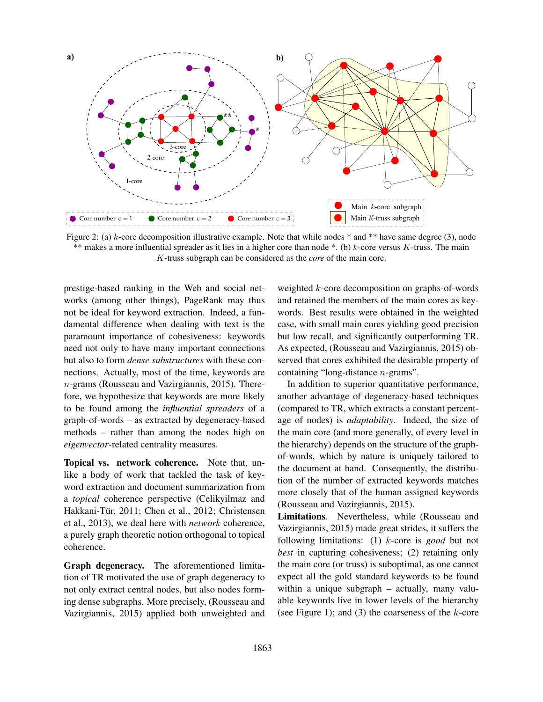

Figure 2: (a)  $k$ -core decomposition illustrative example. Note that while nodes  $*$  and  $**$  have same degree (3), node \*\* makes a more influential spreader as it lies in a higher core than node \*. (b)  $k$ -core versus K-truss. The main K-truss subgraph can be considered as the *core* of the main core.

prestige-based ranking in the Web and social networks (among other things), PageRank may thus not be ideal for keyword extraction. Indeed, a fundamental difference when dealing with text is the paramount importance of cohesiveness: keywords need not only to have many important connections but also to form *dense substructures* with these connections. Actually, most of the time, keywords are n-grams (Rousseau and Vazirgiannis, 2015). Therefore, we hypothesize that keywords are more likely to be found among the *influential spreaders* of a graph-of-words – as extracted by degeneracy-based methods – rather than among the nodes high on *eigenvector*-related centrality measures.

Topical vs. network coherence. Note that, unlike a body of work that tackled the task of keyword extraction and document summarization from a *topical* coherence perspective (Celikyilmaz and Hakkani-Tür, 2011; Chen et al., 2012; Christensen et al., 2013), we deal here with *network* coherence, a purely graph theoretic notion orthogonal to topical coherence.

Graph degeneracy. The aforementioned limitation of TR motivated the use of graph degeneracy to not only extract central nodes, but also nodes forming dense subgraphs. More precisely, (Rousseau and Vazirgiannis, 2015) applied both unweighted and weighted k-core decomposition on graphs-of-words and retained the members of the main cores as keywords. Best results were obtained in the weighted case, with small main cores yielding good precision but low recall, and significantly outperforming TR. As expected, (Rousseau and Vazirgiannis, 2015) observed that cores exhibited the desirable property of containing "long-distance n-grams".

In addition to superior quantitative performance, another advantage of degeneracy-based techniques (compared to TR, which extracts a constant percentage of nodes) is *adaptability*. Indeed, the size of the main core (and more generally, of every level in the hierarchy) depends on the structure of the graphof-words, which by nature is uniquely tailored to the document at hand. Consequently, the distribution of the number of extracted keywords matches more closely that of the human assigned keywords (Rousseau and Vazirgiannis, 2015).

Limitations. Nevertheless, while (Rousseau and Vazirgiannis, 2015) made great strides, it suffers the following limitations: (1) k-core is *good* but not *best* in capturing cohesiveness; (2) retaining only the main core (or truss) is suboptimal, as one cannot expect all the gold standard keywords to be found within a unique subgraph – actually, many valuable keywords live in lower levels of the hierarchy (see Figure 1); and  $(3)$  the coarseness of the *k*-core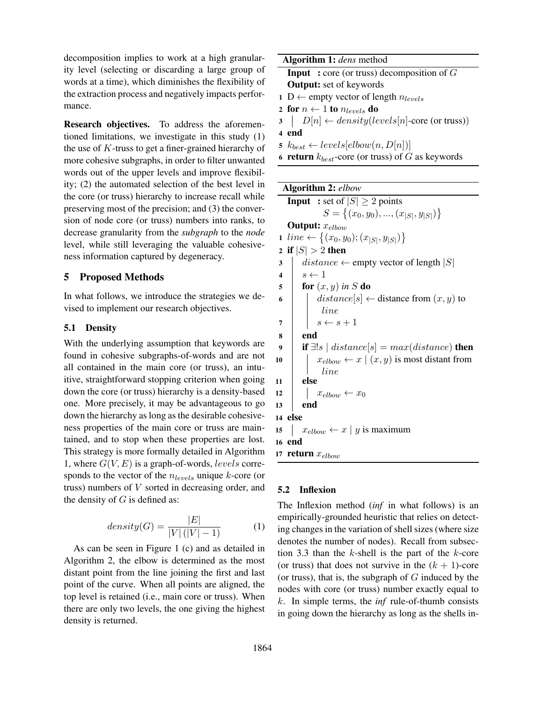decomposition implies to work at a high granularity level (selecting or discarding a large group of words at a time), which diminishes the flexibility of the extraction process and negatively impacts performance.

Research objectives. To address the aforementioned limitations, we investigate in this study (1) the use of  $K$ -truss to get a finer-grained hierarchy of more cohesive subgraphs, in order to filter unwanted words out of the upper levels and improve flexibility; (2) the automated selection of the best level in the core (or truss) hierarchy to increase recall while preserving most of the precision; and (3) the conversion of node core (or truss) numbers into ranks, to decrease granularity from the *subgraph* to the *node* level, while still leveraging the valuable cohesiveness information captured by degeneracy.

# 5 Proposed Methods

In what follows, we introduce the strategies we devised to implement our research objectives.

# 5.1 Density

With the underlying assumption that keywords are found in cohesive subgraphs-of-words and are not all contained in the main core (or truss), an intuitive, straightforward stopping criterion when going down the core (or truss) hierarchy is a density-based one. More precisely, it may be advantageous to go down the hierarchy as long as the desirable cohesiveness properties of the main core or truss are maintained, and to stop when these properties are lost. This strategy is more formally detailed in Algorithm 1, where  $G(V, E)$  is a graph-of-words, levels corresponds to the vector of the  $n_{levels}$  unique k-core (or truss) numbers of V sorted in decreasing order, and the density of  $G$  is defined as:

$$
density(G) = \frac{|E|}{|V|(|V|-1)}
$$
 (1)

As can be seen in Figure 1 (c) and as detailed in Algorithm 2, the elbow is determined as the most distant point from the line joining the first and last point of the curve. When all points are aligned, the top level is retained (i.e., main core or truss). When there are only two levels, the one giving the highest density is returned.

| Algorithm 1: <i>dens</i> method                               |  |  |  |  |  |
|---------------------------------------------------------------|--|--|--|--|--|
| <b>Input</b> : core (or truss) decomposition of $G$           |  |  |  |  |  |
| <b>Output:</b> set of keywords                                |  |  |  |  |  |
| 1 D ← empty vector of length $n_{levels}$                     |  |  |  |  |  |
| 2 for $n \leftarrow 1$ to $n_{levels}$ do                     |  |  |  |  |  |
| $3 \mid D[n] \leftarrow density(levels[n] - core (or truss))$ |  |  |  |  |  |
| 4 end                                                         |  |  |  |  |  |
| 5 $k_{best} \leftarrow levels[elbow(n, D[n])]$                |  |  |  |  |  |

|  |  | 6 <b>return</b> $k_{best}$ -core (or truss) of G as keywords |  |  |  |  |  |  |  |
|--|--|--------------------------------------------------------------|--|--|--|--|--|--|--|
|--|--|--------------------------------------------------------------|--|--|--|--|--|--|--|

Algorithm 2: *elbow*

**Input** : set of  $|S| \ge 2$  points  $S = \{(x_0, y_0), ..., (x_{|S|}, y_{|S|})\}$ **Output:**  $x_{elbow}$ 1  $line \leftarrow \{(x_0, y_0); (x_{|S|}, y_{|S|})\}$ 2 if  $|S| > 2$  then<br>3 distance  $\leftarrow$  $distance \leftarrow \text{empty vector of length } |S|$ 4  $s \leftarrow 1$  $\mathbf{5}$  | for  $(x, y)$  *in* S do 6 distance[s]  $\leftarrow$  distance from  $(x, y)$  to line 7  $s \leftarrow s + 1$ 8 end 9 if  $\exists!s \mid distance[s] = max(distance)$  then<br>10  $\downarrow x_{elbow} \leftarrow x \mid (x, y)$  is most distant from  $x_{elbow} \leftarrow x \mid (x, y)$  is most distant from line 11 else 12  $\begin{array}{|l|}\n12 \rightarrow x_{elbow} \leftarrow x_0 \\
\hline\n13 \rightarrow end\n\end{array}$ end 14 else 15  $x_{elbow} \leftarrow x \mid y$  is maximum 16 end 17 return  $x_{elbow}$ 

#### 5.2 Inflexion

The Inflexion method (*inf* in what follows) is an empirically-grounded heuristic that relies on detecting changes in the variation of shell sizes (where size denotes the number of nodes). Recall from subsection 3.3 than the  $k$ -shell is the part of the  $k$ -core (or truss) that does not survive in the  $(k + 1)$ -core (or truss), that is, the subgraph of  $G$  induced by the nodes with core (or truss) number exactly equal to k. In simple terms, the *inf* rule-of-thumb consists in going down the hierarchy as long as the shells in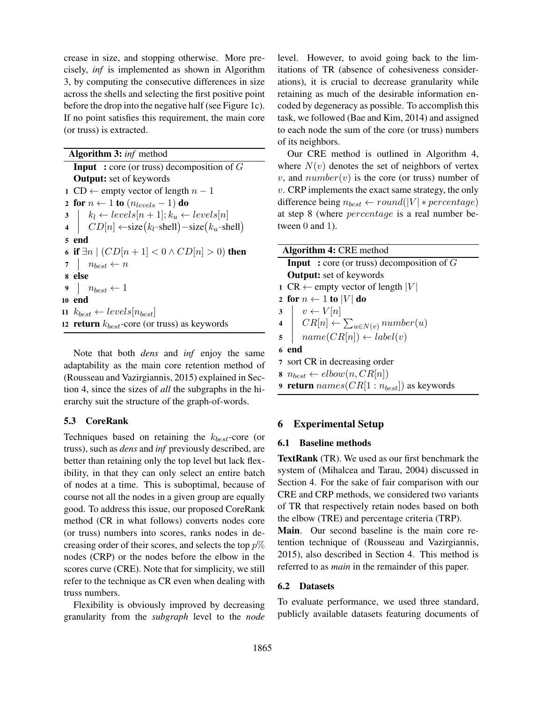crease in size, and stopping otherwise. More precisely, *inf* is implemented as shown in Algorithm 3, by computing the consecutive differences in size across the shells and selecting the first positive point before the drop into the negative half (see Figure 1c). If no point satisfies this requirement, the main core (or truss) is extracted.

Algorithm 3: *inf* method **Input** : core (or truss) decomposition of  $G$ Output: set of keywords 1 CD ← empty vector of length  $n-1$ 2 for  $n \leftarrow 1$  to  $(n_{levels} - 1)$  do 3  $\Big| k_l \leftarrow levels[n+1]; k_u \leftarrow levels[n]$ 4  $\mid CD[n] \leftarrow size(k_l$ -shell $)$  – size  $(k_u$ -shell $)$ 5 end 6 if  $\exists n \mid (CD[n+1] < 0 \land CD[n] > 0)$  then 7  $n_{best} \leftarrow n$ 8 else 9  $n_{best} \leftarrow 1$ 10 end 11  $k_{best} \leftarrow levels[n_{best}]$ 12 return  $k_{best}$ -core (or truss) as keywords

Note that both *dens* and *inf* enjoy the same adaptability as the main core retention method of (Rousseau and Vazirgiannis, 2015) explained in Section 4, since the sizes of *all* the subgraphs in the hierarchy suit the structure of the graph-of-words.

# 5.3 CoreRank

Techniques based on retaining the  $k_{best}$ -core (or truss), such as *dens* and *inf* previously described, are better than retaining only the top level but lack flexibility, in that they can only select an entire batch of nodes at a time. This is suboptimal, because of course not all the nodes in a given group are equally good. To address this issue, our proposed CoreRank method (CR in what follows) converts nodes core (or truss) numbers into scores, ranks nodes in decreasing order of their scores, and selects the top  $p\%$ nodes (CRP) or the nodes before the elbow in the scores curve (CRE). Note that for simplicity, we still refer to the technique as CR even when dealing with truss numbers.

Flexibility is obviously improved by decreasing granularity from the *subgraph* level to the *node* level. However, to avoid going back to the limitations of TR (absence of cohesiveness considerations), it is crucial to decrease granularity while retaining as much of the desirable information encoded by degeneracy as possible. To accomplish this task, we followed (Bae and Kim, 2014) and assigned to each node the sum of the core (or truss) numbers of its neighbors.

Our CRE method is outlined in Algorithm 4, where  $N(v)$  denotes the set of neighbors of vertex v, and  $number(v)$  is the core (or truss) number of  $v$ . CRP implements the exact same strategy, the only difference being  $n_{best} \leftarrow round(|V| * percentage)$ at step 8 (where percentage is a real number between 0 and 1).

| <b>Algorithm 4: CRE method</b>                                                                                                                                               |
|------------------------------------------------------------------------------------------------------------------------------------------------------------------------------|
| <b>Input</b> : core (or truss) decomposition of $G$                                                                                                                          |
| <b>Output:</b> set of keywords                                                                                                                                               |
| 1 CR $\leftarrow$ empty vector of length  V                                                                                                                                  |
| 2 for $n \leftarrow 1$ to  V  do                                                                                                                                             |
|                                                                                                                                                                              |
|                                                                                                                                                                              |
| $\begin{array}{c c} \textbf{3} & v \leftarrow V[n] \\ \textbf{4} & CR[n] \leftarrow \sum_{u \in N(v)} number(u) \\ \textbf{5} & name(CR[n]) \leftarrow label(v) \end{array}$ |
| 6 end                                                                                                                                                                        |
| 7 sort CR in decreasing order                                                                                                                                                |
| $\mathbf{s} \; n_{best} \leftarrow elbow(n, CR[n])$                                                                                                                          |
| <b>9 return</b> $names(CR[1:n_{best}])$ as keywords                                                                                                                          |

# 6 Experimental Setup

### 6.1 Baseline methods

TextRank (TR). We used as our first benchmark the system of (Mihalcea and Tarau, 2004) discussed in Section 4. For the sake of fair comparison with our CRE and CRP methods, we considered two variants of TR that respectively retain nodes based on both the elbow (TRE) and percentage criteria (TRP).

Main. Our second baseline is the main core retention technique of (Rousseau and Vazirgiannis, 2015), also described in Section 4. This method is referred to as *main* in the remainder of this paper.

#### 6.2 Datasets

To evaluate performance, we used three standard, publicly available datasets featuring documents of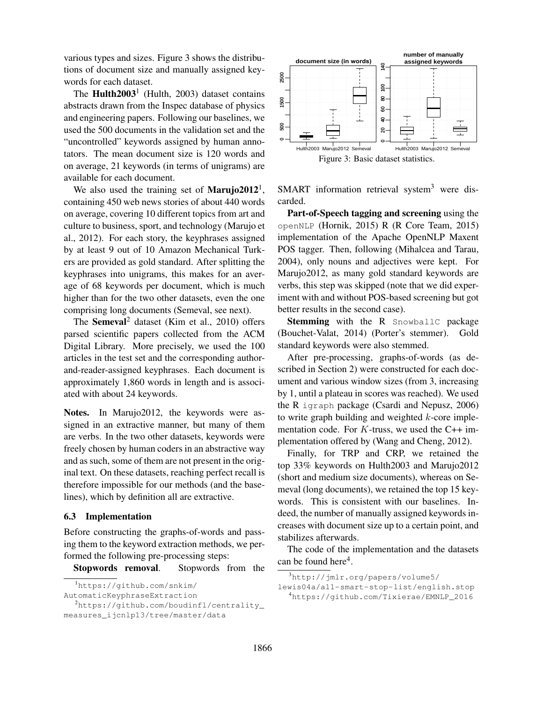various types and sizes. Figure 3 shows the distributions of document size and manually assigned keywords for each dataset.

The **Hulth2003**<sup>1</sup> (Hulth, 2003) dataset contains abstracts drawn from the Inspec database of physics and engineering papers. Following our baselines, we used the 500 documents in the validation set and the "uncontrolled" keywords assigned by human annotators. The mean document size is 120 words and on average, 21 keywords (in terms of unigrams) are available for each document.

We also used the training set of **Marujo2012**<sup>1</sup>, containing 450 web news stories of about 440 words on average, covering 10 different topics from art and culture to business, sport, and technology (Marujo et al., 2012). For each story, the keyphrases assigned by at least 9 out of 10 Amazon Mechanical Turkers are provided as gold standard. After splitting the keyphrases into unigrams, this makes for an average of 68 keywords per document, which is much higher than for the two other datasets, even the one comprising long documents (Semeval, see next). words for cach dataset.<br>
The **Huth2003**<sup>3</sup> (Huth, 2003) dataset contains<br>
abstracts drawn from the Inspec database of physics<br>
and engineering papers. Following our baselines, we<br>
used the 800 documents in the validation

The Semeval<sup>2</sup> dataset (Kim et al., 2010) offers parsed scientific papers collected from the ACM Digital Library. More precisely, we used the 100 articles in the test set and the corresponding authorand-reader-assigned keyphrases. Each document is approximately 1,860 words in length and is associated with about 24 keywords.

Notes. In Marujo2012, the keywords were assigned in an extractive manner, but many of them are verbs. In the two other datasets, keywords were freely chosen by human coders in an abstractive way and as such, some of them are not present in the original text. On these datasets, reaching perfect recall is therefore impossible for our methods (and the baselines), which by definition all are extractive.

### 6.3 Implementation

Before constructing the graphs-of-words and passing them to the keyword extraction methods, we performed the following pre-processing steps:

Stopwords removal. Stopwords from the

<sup>1</sup>https://github.com/snkim/ AutomaticKeyphraseExtraction <sup>2</sup>https://github.com/boudinfl/centrality\_



SMART information retrieval system $3$  were discarded.

Part-of-Speech tagging and screening using the openNLP (Hornik, 2015) R (R Core Team, 2015) implementation of the Apache OpenNLP Maxent POS tagger. Then, following (Mihalcea and Tarau, 2004), only nouns and adjectives were kept. For Marujo2012, as many gold standard keywords are verbs, this step was skipped (note that we did experiment with and without POS-based screening but got better results in the second case).

Stemming with the R SnowballC package (Bouchet-Valat, 2014) (Porter's stemmer). Gold standard keywords were also stemmed.

After pre-processing, graphs-of-words (as described in Section 2) were constructed for each document and various window sizes (from 3, increasing by 1, until a plateau in scores was reached). We used the R igraph package (Csardi and Nepusz, 2006) to write graph building and weighted  $k$ -core implementation code. For  $K$ -truss, we used the C++ implementation offered by (Wang and Cheng, 2012).

Finally, for TRP and CRP, we retained the top 33% keywords on Hulth2003 and Marujo2012 (short and medium size documents), whereas on Semeval (long documents), we retained the top 15 keywords. This is consistent with our baselines. Indeed, the number of manually assigned keywords increases with document size up to a certain point, and stabilizes afterwards.

The code of the implementation and the datasets can be found here<sup>4</sup>.

<sup>3</sup>http://jmlr.org/papers/volume5/ lewis04a/a11-smart-stop-list/english.stop <sup>4</sup>https://github.com/Tixierae/EMNLP\_2016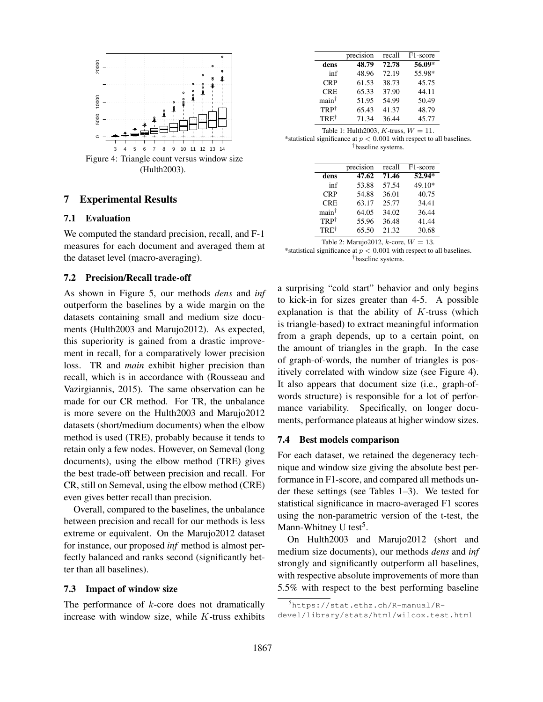

# 7 Experimental Results

### 7.1 Evaluation

We computed the standard precision, recall, and F-1 measures for each document and averaged them at the dataset level (macro-averaging).

### 7.2 Precision/Recall trade-off

As shown in Figure 5, our methods *dens* and *inf* outperform the baselines by a wide margin on the datasets containing small and medium size documents (Hulth2003 and Marujo2012). As expected, this superiority is gained from a drastic improvement in recall, for a comparatively lower precision loss. TR and *main* exhibit higher precision than recall, which is in accordance with (Rousseau and Vazirgiannis, 2015). The same observation can be made for our CR method. For TR, the unbalance is more severe on the Hulth2003 and Marujo2012 datasets (short/medium documents) when the elbow method is used (TRE), probably because it tends to retain only a few nodes. However, on Semeval (long documents), using the elbow method (TRE) gives the best trade-off between precision and recall. For CR, still on Semeval, using the elbow method (CRE) even gives better recall than precision.

Overall, compared to the baselines, the unbalance between precision and recall for our methods is less extreme or equivalent. On the Marujo2012 dataset for instance, our proposed *inf* method is almost perfectly balanced and ranks second (significantly better than all baselines).

#### 7.3 Impact of window size

The performance of  $k$ -core does not dramatically increase with window size, while  $K$ -truss exhibits

|                   | precision | recall | F <sub>1</sub> -score |
|-------------------|-----------|--------|-----------------------|
| dens              | 48.79     | 72.78  | $56.09*$              |
| inf               | 48.96     | 72.19  | 55.98*                |
| <b>CRP</b>        | 61.53     | 38.73  | 45.75                 |
| <b>CRE</b>        | 65.33     | 37.90  | 44.11                 |
| main <sup>†</sup> | 51.95     | 54.99  | 50.49                 |
| TRP <sup>†</sup>  | 65.43     | 41.37  | 48.79                 |
| TRET              | 71.34     | 36.44  | 45.77                 |
|                   |           |        |                       |

| Table 1: Hulth 2003, K-truss, $W = 11$ .                                |  |
|-------------------------------------------------------------------------|--|
| *statistical significance at $p < 0.001$ with respect to all baselines. |  |

†baseline systems.

|                         | precision | recall | F <sub>1</sub> -score |
|-------------------------|-----------|--------|-----------------------|
| dens                    | 47.62     | 71.46  | 52.94*                |
| inf                     | 53.88     | 57.54  | 49.10*                |
| <b>CRP</b>              | 54.88     | 36.01  | 40.75                 |
| <b>CRE</b>              | 63.17     | 25.77  | 34.41                 |
| $\text{main}^{\dagger}$ | 64.05     | 34.02  | 36.44                 |
| $TRP^{\dagger}$         | 55.96     | 36.48  | 41.44                 |
| $TRE^{\dagger}$         | 65.50     | 21.32  | 30.68                 |
|                         |           |        |                       |

Table 2: Marujo2012,  $k$ -core,  $W = 13$ .

$$
*
$$
 statistical significance at  $p < 0.001$  with respect to all baselines.  $^{\dagger}$  baseline systems.

a surprising "cold start" behavior and only begins to kick-in for sizes greater than 4-5. A possible explanation is that the ability of  $K$ -truss (which is triangle-based) to extract meaningful information from a graph depends, up to a certain point, on the amount of triangles in the graph. In the case of graph-of-words, the number of triangles is positively correlated with window size (see Figure 4). It also appears that document size (i.e., graph-ofwords structure) is responsible for a lot of performance variability. Specifically, on longer documents, performance plateaus at higher window sizes.

#### 7.4 Best models comparison

For each dataset, we retained the degeneracy technique and window size giving the absolute best performance in F1-score, and compared all methods under these settings (see Tables 1–3). We tested for statistical significance in macro-averaged F1 scores using the non-parametric version of the t-test, the Mann-Whitney U test<sup>5</sup>.

On Hulth2003 and Marujo2012 (short and medium size documents), our methods *dens* and *inf* strongly and significantly outperform all baselines, with respective absolute improvements of more than 5.5% with respect to the best performing baseline

<sup>5</sup>https://stat.ethz.ch/R-manual/Rdevel/library/stats/html/wilcox.test.html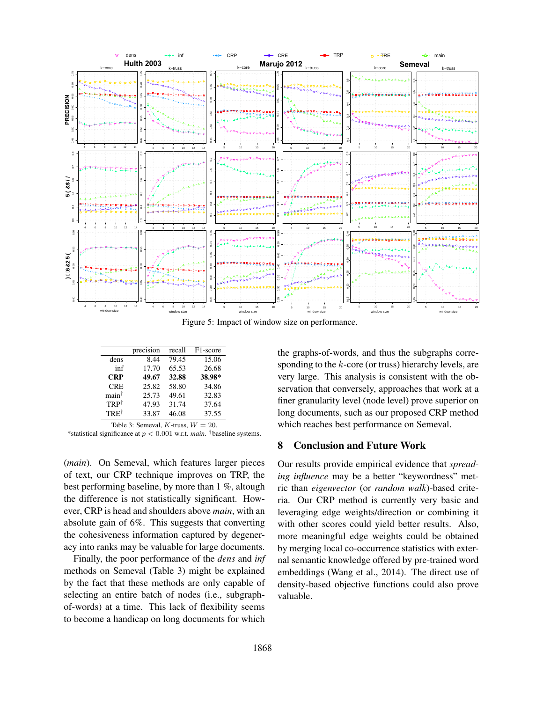

Figure 5: Impact of window size on performance.

|                         | precision | recall | F <sub>1</sub> -score |
|-------------------------|-----------|--------|-----------------------|
| dens                    | 8.44      | 79.45  | 15.06                 |
| inf                     | 17.70     | 65.53  | 26.68                 |
| <b>CRP</b>              | 49.67     | 32.88  | 38.98*                |
| <b>CRE</b>              | 25.82     | 58.80  | 34.86                 |
| $\text{main}^{\dagger}$ | 25.73     | 49.61  | 32.83                 |
| $TRP^{\dagger}$         | 47.93     | 31.74  | 37.64                 |
| TRET                    | 33.87     | 46.08  | 37.55                 |

Table 3: Semeval,  $K$ -truss,  $W = 20$ .

\*statistical significance at p < 0.001 w.r.t. *main*. †baseline systems.

(*main*). On Semeval, which features larger pieces of text, our CRP technique improves on TRP, the best performing baseline, by more than 1 %, altough the difference is not statistically significant. However, CRP is head and shoulders above *main*, with an absolute gain of 6%. This suggests that converting the cohesiveness information captured by degeneracy into ranks may be valuable for large documents.

Finally, the poor performance of the *dens* and *inf* methods on Semeval (Table 3) might be explained by the fact that these methods are only capable of selecting an entire batch of nodes (i.e., subgraphof-words) at a time. This lack of flexibility seems to become a handicap on long documents for which

the graphs-of-words, and thus the subgraphs corresponding to the  $k$ -core (or truss) hierarchy levels, are very large. This analysis is consistent with the observation that conversely, approaches that work at a finer granularity level (node level) prove superior on long documents, such as our proposed CRP method which reaches best performance on Semeval.

### 8 Conclusion and Future Work

Our results provide empirical evidence that *spreading influence* may be a better "keywordness" metric than *eigenvector* (or *random walk*)-based criteria. Our CRP method is currently very basic and leveraging edge weights/direction or combining it with other scores could yield better results. Also, more meaningful edge weights could be obtained by merging local co-occurrence statistics with external semantic knowledge offered by pre-trained word embeddings (Wang et al., 2014). The direct use of density-based objective functions could also prove valuable.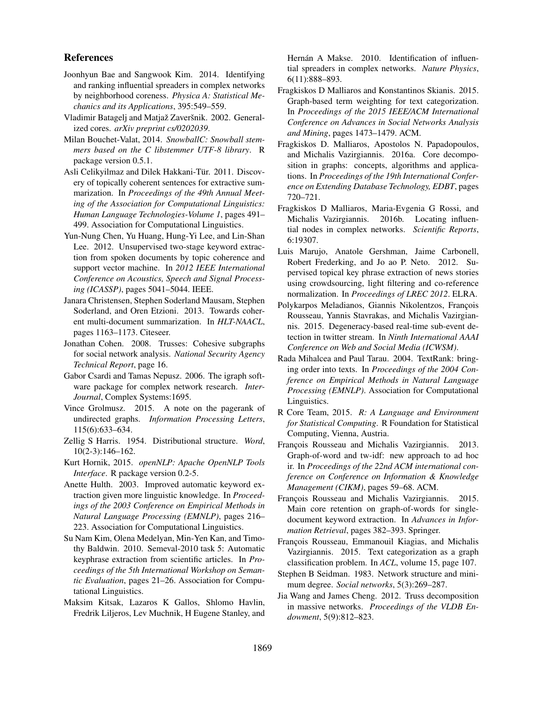### References

- Joonhyun Bae and Sangwook Kim. 2014. Identifying and ranking influential spreaders in complex networks by neighborhood coreness. *Physica A: Statistical Mechanics and its Applications*, 395:549–559.
- Vladimir Batagelj and Matjaž Zaveršnik. 2002. Generalized cores. *arXiv preprint cs/0202039*.
- Milan Bouchet-Valat, 2014. *SnowballC: Snowball stemmers based on the C libstemmer UTF-8 library*. R package version 0.5.1.
- Asli Celikyilmaz and Dilek Hakkani-Tür. 2011. Discovery of topically coherent sentences for extractive summarization. In *Proceedings of the 49th Annual Meeting of the Association for Computational Linguistics: Human Language Technologies-Volume 1*, pages 491– 499. Association for Computational Linguistics.
- Yun-Nung Chen, Yu Huang, Hung-Yi Lee, and Lin-Shan Lee. 2012. Unsupervised two-stage keyword extraction from spoken documents by topic coherence and support vector machine. In *2012 IEEE International Conference on Acoustics, Speech and Signal Processing (ICASSP)*, pages 5041–5044. IEEE.
- Janara Christensen, Stephen Soderland Mausam, Stephen Soderland, and Oren Etzioni. 2013. Towards coherent multi-document summarization. In *HLT-NAACL*, pages 1163–1173. Citeseer.
- Jonathan Cohen. 2008. Trusses: Cohesive subgraphs for social network analysis. *National Security Agency Technical Report*, page 16.
- Gabor Csardi and Tamas Nepusz. 2006. The igraph software package for complex network research. *Inter-Journal*, Complex Systems:1695.
- Vince Grolmusz. 2015. A note on the pagerank of undirected graphs. *Information Processing Letters*, 115(6):633–634.
- Zellig S Harris. 1954. Distributional structure. *Word*, 10(2-3):146–162.
- Kurt Hornik, 2015. *openNLP: Apache OpenNLP Tools Interface*. R package version 0.2-5.
- Anette Hulth. 2003. Improved automatic keyword extraction given more linguistic knowledge. In *Proceedings of the 2003 Conference on Empirical Methods in Natural Language Processing (EMNLP)*, pages 216– 223. Association for Computational Linguistics.
- Su Nam Kim, Olena Medelyan, Min-Yen Kan, and Timothy Baldwin. 2010. Semeval-2010 task 5: Automatic keyphrase extraction from scientific articles. In *Proceedings of the 5th International Workshop on Semantic Evaluation*, pages 21–26. Association for Computational Linguistics.
- Maksim Kitsak, Lazaros K Gallos, Shlomo Havlin, Fredrik Liljeros, Lev Muchnik, H Eugene Stanley, and

Hernán A Makse. 2010. Identification of influential spreaders in complex networks. *Nature Physics*, 6(11):888–893.

- Fragkiskos D Malliaros and Konstantinos Skianis. 2015. Graph-based term weighting for text categorization. In *Proceedings of the 2015 IEEE/ACM International Conference on Advances in Social Networks Analysis and Mining*, pages 1473–1479. ACM.
- Fragkiskos D. Malliaros, Apostolos N. Papadopoulos, and Michalis Vazirgiannis. 2016a. Core decomposition in graphs: concepts, algorithms and applications. In *Proceedings of the 19th International Conference on Extending Database Technology, EDBT*, pages 720–721.
- Fragkiskos D Malliaros, Maria-Evgenia G Rossi, and Michalis Vazirgiannis. 2016b. Locating influential nodes in complex networks. *Scientific Reports*, 6:19307.
- Luis Marujo, Anatole Gershman, Jaime Carbonell, Robert Frederking, and Jo ao P. Neto. 2012. Supervised topical key phrase extraction of news stories using crowdsourcing, light filtering and co-reference normalization. In *Proceedings of LREC 2012*. ELRA.
- Polykarpos Meladianos, Giannis Nikolentzos, François Rousseau, Yannis Stavrakas, and Michalis Vazirgiannis. 2015. Degeneracy-based real-time sub-event detection in twitter stream. In *Ninth International AAAI Conference on Web and Social Media (ICWSM)*.
- Rada Mihalcea and Paul Tarau. 2004. TextRank: bringing order into texts. In *Proceedings of the 2004 Conference on Empirical Methods in Natural Language Processing (EMNLP)*. Association for Computational Linguistics.
- R Core Team, 2015. *R: A Language and Environment for Statistical Computing*. R Foundation for Statistical Computing, Vienna, Austria.
- François Rousseau and Michalis Vazirgiannis. 2013. Graph-of-word and tw-idf: new approach to ad hoc ir. In *Proceedings of the 22nd ACM international conference on Conference on Information & Knowledge Management (CIKM)*, pages 59–68. ACM.
- François Rousseau and Michalis Vazirgiannis. 2015. Main core retention on graph-of-words for singledocument keyword extraction. In *Advances in Information Retrieval*, pages 382–393. Springer.
- François Rousseau, Emmanouil Kiagias, and Michalis Vazirgiannis. 2015. Text categorization as a graph classification problem. In *ACL*, volume 15, page 107.
- Stephen B Seidman. 1983. Network structure and minimum degree. *Social networks*, 5(3):269–287.
- Jia Wang and James Cheng. 2012. Truss decomposition in massive networks. *Proceedings of the VLDB Endowment*, 5(9):812–823.